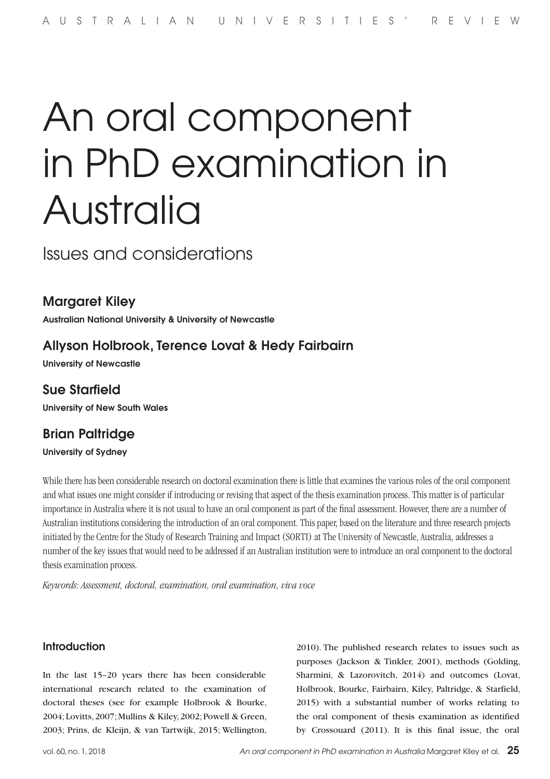# An oral component in PhD examination in Australia

Issues and considerations

## Margaret Kiley

Australian National University & University of Newcastle

# Allyson Holbrook, Terence Lovat & Hedy Fairbairn

University of Newcastle

# Sue Starfield

University of New South Wales

# Brian Paltridge

University of Sydney

While there has been considerable research on doctoral examination there is little that examines the various roles of the oral component and what issues one might consider if introducing or revising that aspect of the thesis examination process. This matter is of particular importance in Australia where it is not usual to have an oral component as part of the final assessment. However, there are a number of Australian institutions considering the introduction of an oral component. This paper, based on the literature and three research projects initiated by the Centre for the Study of Research Training and Impact (SORTI) at The University of Newcastle, Australia, addresses a number of the key issues that would need to be addressed if an Australian institution were to introduce an oral component to the doctoral thesis examination process.

*Keywords: Assessment, doctoral, examination, oral examination, viva voce*

#### **Introduction**

In the last 15–20 years there has been considerable international research related to the examination of doctoral theses (see for example Holbrook & Bourke, 2004; Lovitts, 2007; Mullins & Kiley, 2002; Powell & Green, 2003; Prins, de Kleijn, & van Tartwijk, 2015; Wellington,

2010). The published research relates to issues such as purposes (Jackson & Tinkler, 2001), methods (Golding, Sharmini, & Lazorovitch, 2014) and outcomes (Lovat, Holbrook, Bourke, Fairbairn, Kiley, Paltridge, & Starfield, 2015) with a substantial number of works relating to the oral component of thesis examination as identified by Crossouard (2011). It is this final issue, the oral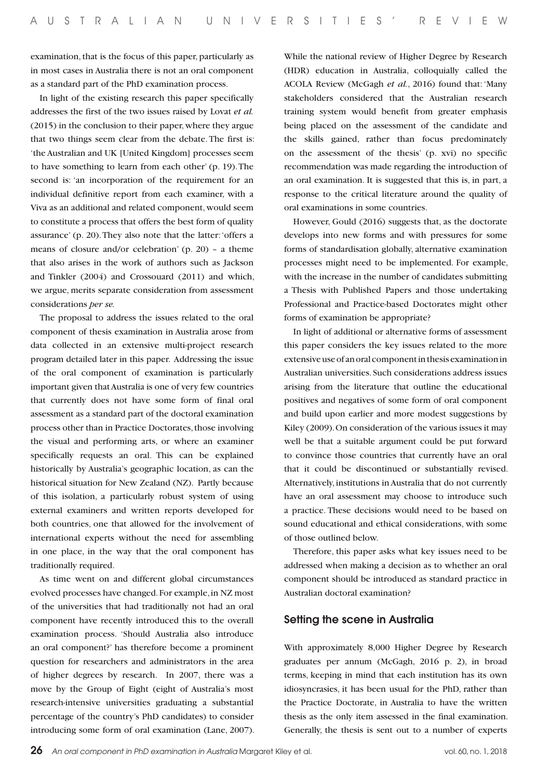examination, that is the focus of this paper, particularly as in most cases in Australia there is not an oral component as a standard part of the PhD examination process.

In light of the existing research this paper specifically addresses the first of the two issues raised by Lovat *et al.* (2015) in the conclusion to their paper, where they argue that two things seem clear from the debate. The first is: 'the Australian and UK [United Kingdom] processes seem to have something to learn from each other' (p. 19). The second is: 'an incorporation of the requirement for an individual definitive report from each examiner, with a Viva as an additional and related component, would seem to constitute a process that offers the best form of quality assurance' (p. 20). They also note that the latter: 'offers a means of closure and/or celebration' (p. 20) – a theme that also arises in the work of authors such as Jackson and Tinkler (2004) and Crossouard (2011) and which, we argue, merits separate consideration from assessment considerations *per se.*

The proposal to address the issues related to the oral component of thesis examination in Australia arose from data collected in an extensive multi-project research program detailed later in this paper. Addressing the issue of the oral component of examination is particularly important given that Australia is one of very few countries that currently does not have some form of final oral assessment as a standard part of the doctoral examination process other than in Practice Doctorates, those involving the visual and performing arts, or where an examiner specifically requests an oral. This can be explained historically by Australia's geographic location, as can the historical situation for New Zealand (NZ). Partly because of this isolation, a particularly robust system of using external examiners and written reports developed for both countries, one that allowed for the involvement of international experts without the need for assembling in one place, in the way that the oral component has traditionally required.

As time went on and different global circumstances evolved processes have changed. For example, in NZ most of the universities that had traditionally not had an oral component have recently introduced this to the overall examination process. 'Should Australia also introduce an oral component?' has therefore become a prominent question for researchers and administrators in the area of higher degrees by research. In 2007, there was a move by the Group of Eight (eight of Australia's most research-intensive universities graduating a substantial percentage of the country's PhD candidates) to consider introducing some form of oral examination (Lane, 2007). While the national review of Higher Degree by Research (HDR) education in Australia, colloquially called the ACOLA Review (McGagh *et al.*, 2016) found that: 'Many stakeholders considered that the Australian research training system would benefit from greater emphasis being placed on the assessment of the candidate and the skills gained, rather than focus predominately on the assessment of the thesis' (p. xvi) no specific recommendation was made regarding the introduction of an oral examination. It is suggested that this is, in part, a response to the critical literature around the quality of oral examinations in some countries.

However, Gould (2016) suggests that, as the doctorate develops into new forms and with pressures for some forms of standardisation globally, alternative examination processes might need to be implemented. For example, with the increase in the number of candidates submitting a Thesis with Published Papers and those undertaking Professional and Practice-based Doctorates might other forms of examination be appropriate?

In light of additional or alternative forms of assessment this paper considers the key issues related to the more extensive use of an oral component in thesis examination in Australian universities. Such considerations address issues arising from the literature that outline the educational positives and negatives of some form of oral component and build upon earlier and more modest suggestions by Kiley (2009). On consideration of the various issues it may well be that a suitable argument could be put forward to convince those countries that currently have an oral that it could be discontinued or substantially revised. Alternatively, institutions in Australia that do not currently have an oral assessment may choose to introduce such a practice. These decisions would need to be based on sound educational and ethical considerations, with some of those outlined below.

Therefore, this paper asks what key issues need to be addressed when making a decision as to whether an oral component should be introduced as standard practice in Australian doctoral examination?

#### Setting the scene in Australia

With approximately 8,000 Higher Degree by Research graduates per annum (McGagh, 2016 p. 2), in broad terms, keeping in mind that each institution has its own idiosyncrasies, it has been usual for the PhD, rather than the Practice Doctorate, in Australia to have the written thesis as the only item assessed in the final examination. Generally, the thesis is sent out to a number of experts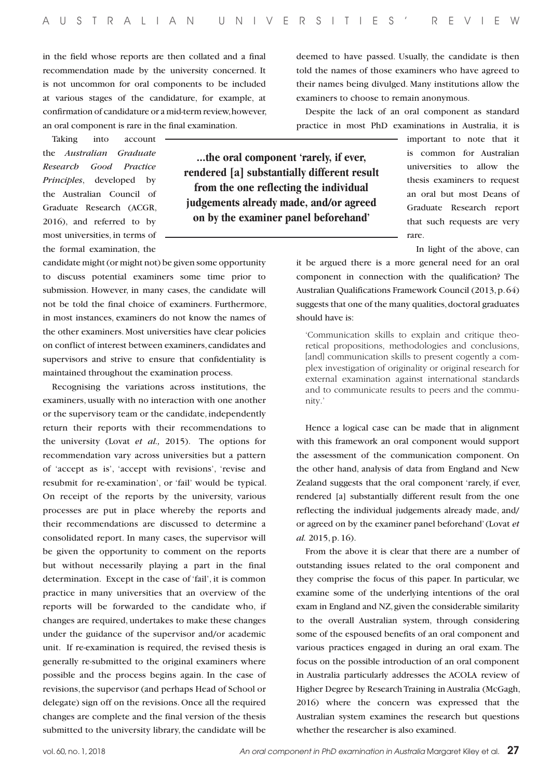in the field whose reports are then collated and a final recommendation made by the university concerned. It is not uncommon for oral components to be included at various stages of the candidature, for example, at confirmation of candidature or a mid-term review, however, an oral component is rare in the final examination.

Taking into account the *Australian Graduate Research Good Practice Principles*, developed by the Australian Council of Graduate Research (ACGR, 2016), and referred to by most universities, in terms of the formal examination, the

candidate might (or might not) be given some opportunity to discuss potential examiners some time prior to submission. However, in many cases, the candidate will not be told the final choice of examiners. Furthermore, in most instances, examiners do not know the names of the other examiners. Most universities have clear policies on conflict of interest between examiners, candidates and supervisors and strive to ensure that confidentiality is maintained throughout the examination process.

Recognising the variations across institutions, the examiners, usually with no interaction with one another or the supervisory team or the candidate, independently return their reports with their recommendations to the university (Lovat *et al.,* 2015). The options for recommendation vary across universities but a pattern of 'accept as is', 'accept with revisions', 'revise and resubmit for re-examination', or 'fail' would be typical. On receipt of the reports by the university, various processes are put in place whereby the reports and their recommendations are discussed to determine a consolidated report. In many cases, the supervisor will be given the opportunity to comment on the reports but without necessarily playing a part in the final determination. Except in the case of 'fail', it is common practice in many universities that an overview of the reports will be forwarded to the candidate who, if changes are required, undertakes to make these changes under the guidance of the supervisor and/or academic unit. If re-examination is required, the revised thesis is generally re-submitted to the original examiners where possible and the process begins again. In the case of revisions, the supervisor (and perhaps Head of School or delegate) sign off on the revisions. Once all the required changes are complete and the final version of the thesis submitted to the university library, the candidate will be

deemed to have passed. Usually, the candidate is then told the names of those examiners who have agreed to their names being divulged. Many institutions allow the examiners to choose to remain anonymous.

Despite the lack of an oral component as standard practice in most PhD examinations in Australia, it is

> important to note that it is common for Australian universities to allow the thesis examiners to request an oral but most Deans of Graduate Research report that such requests are very rare.

In light of the above, can

it be argued there is a more general need for an oral component in connection with the qualification? The Australian Qualifications Framework Council (2013, p. 64) suggests that one of the many qualities, doctoral graduates should have is:

'Communication skills to explain and critique theoretical propositions, methodologies and conclusions, [and] communication skills to present cogently a complex investigation of originality or original research for external examination against international standards and to communicate results to peers and the community.'

Hence a logical case can be made that in alignment with this framework an oral component would support the assessment of the communication component. On the other hand, analysis of data from England and New Zealand suggests that the oral component 'rarely, if ever, rendered [a] substantially different result from the one reflecting the individual judgements already made, and/ or agreed on by the examiner panel beforehand' (Lovat *et al.* 2015, p. 16).

From the above it is clear that there are a number of outstanding issues related to the oral component and they comprise the focus of this paper. In particular, we examine some of the underlying intentions of the oral exam in England and NZ, given the considerable similarity to the overall Australian system, through considering some of the espoused benefits of an oral component and various practices engaged in during an oral exam. The focus on the possible introduction of an oral component in Australia particularly addresses the ACOLA review of Higher Degree by Research Training in Australia (McGagh, 2016) where the concern was expressed that the Australian system examines the research but questions whether the researcher is also examined.

**...the oral component 'rarely, if ever, rendered [a] substantially different result from the one reflecting the individual judgements already made, and/or agreed on by the examiner panel beforehand'**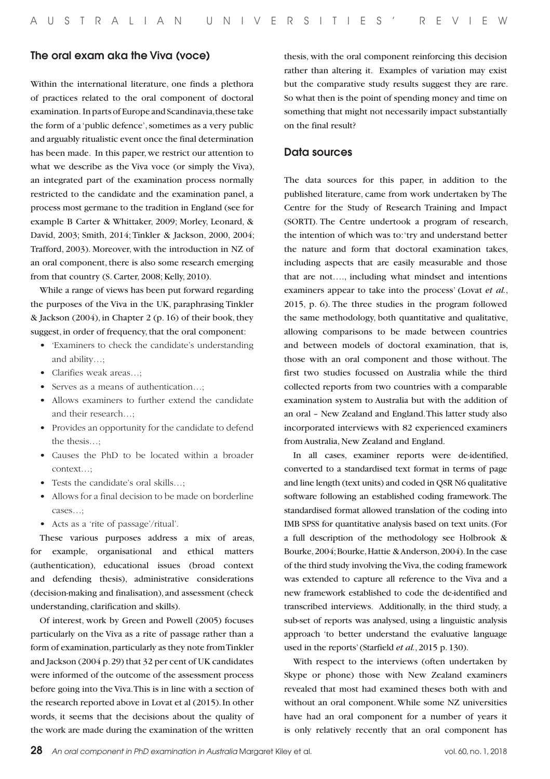#### The oral exam aka the Viva (voce)

Within the international literature, one finds a plethora of practices related to the oral component of doctoral examination. In parts of Europe and Scandinavia, these take the form of a 'public defence', sometimes as a very public and arguably ritualistic event once the final determination has been made. In this paper, we restrict our attention to what we describe as the Viva voce (or simply the Viva), an integrated part of the examination process normally restricted to the candidate and the examination panel, a process most germane to the tradition in England (see for example B Carter & Whittaker, 2009; Morley, Leonard, & David, 2003; Smith, 2014; Tinkler & Jackson, 2000, 2004; Trafford, 2003). Moreover, with the introduction in NZ of an oral component, there is also some research emerging from that country (S. Carter, 2008; Kelly, 2010).

While a range of views has been put forward regarding the purposes of the Viva in the UK, paraphrasing Tinkler & Jackson (2004), in Chapter 2 (p. 16) of their book, they suggest, in order of frequency, that the oral component:

- • 'Examiners to check the candidate's understanding and ability…;
- Clarifies weak areas...:
- Serves as a means of authentication...:
- Allows examiners to further extend the candidate and their research…;
- • Provides an opportunity for the candidate to defend the thesis…;
- • Causes the PhD to be located within a broader context…;
- Tests the candidate's oral skills...;
- Allows for a final decision to be made on borderline cases…;
- • Acts as a 'rite of passage'/ritual'.

These various purposes address a mix of areas, for example, organisational and ethical matters (authentication), educational issues (broad context and defending thesis), administrative considerations (decision-making and finalisation), and assessment (check understanding, clarification and skills).

Of interest, work by Green and Powell (2005) focuses particularly on the Viva as a rite of passage rather than a form of examination, particularly as they note from Tinkler and Jackson (2004 p. 29) that 32 per cent of UK candidates were informed of the outcome of the assessment process before going into the Viva. This is in line with a section of the research reported above in Lovat et al (2015). In other words, it seems that the decisions about the quality of the work are made during the examination of the written thesis, with the oral component reinforcing this decision rather than altering it. Examples of variation may exist but the comparative study results suggest they are rare. So what then is the point of spending money and time on something that might not necessarily impact substantially on the final result?

#### Data sources

The data sources for this paper, in addition to the published literature, came from work undertaken by The Centre for the Study of Research Training and Impact (SORTI). The Centre undertook a program of research, the intention of which was to: 'try and understand better the nature and form that doctoral examination takes, including aspects that are easily measurable and those that are not…., including what mindset and intentions examiners appear to take into the process' (Lovat *et al.*, 2015, p. 6). The three studies in the program followed the same methodology, both quantitative and qualitative, allowing comparisons to be made between countries and between models of doctoral examination, that is, those with an oral component and those without. The first two studies focussed on Australia while the third collected reports from two countries with a comparable examination system to Australia but with the addition of an oral – New Zealand and England. This latter study also incorporated interviews with 82 experienced examiners from Australia, New Zealand and England.

In all cases, examiner reports were de-identified, converted to a standardised text format in terms of page and line length (text units) and coded in QSR N6 qualitative software following an established coding framework. The standardised format allowed translation of the coding into IMB SPSS for quantitative analysis based on text units. (For a full description of the methodology see Holbrook & Bourke, 2004; Bourke, Hattie & Anderson, 2004). In the case of the third study involving the Viva, the coding framework was extended to capture all reference to the Viva and a new framework established to code the de-identified and transcribed interviews. Additionally, in the third study, a sub-set of reports was analysed, using a linguistic analysis approach 'to better understand the evaluative language used in the reports' (Starfield *et al.*, 2015 p. 130).

With respect to the interviews (often undertaken by Skype or phone) those with New Zealand examiners revealed that most had examined theses both with and without an oral component. While some NZ universities have had an oral component for a number of years it is only relatively recently that an oral component has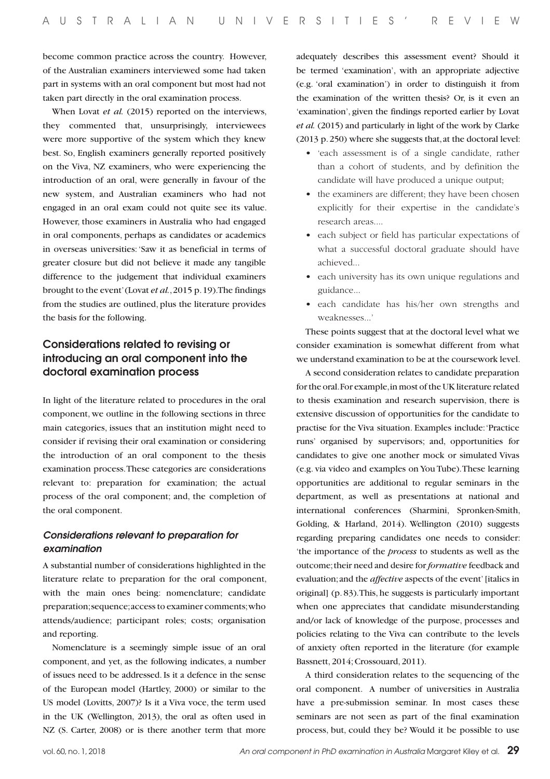become common practice across the country. However, of the Australian examiners interviewed some had taken part in systems with an oral component but most had not taken part directly in the oral examination process.

When Lovat *et al.* (2015) reported on the interviews, they commented that, unsurprisingly, interviewees were more supportive of the system which they knew best. So, English examiners generally reported positively on the Viva, NZ examiners, who were experiencing the introduction of an oral, were generally in favour of the new system, and Australian examiners who had not engaged in an oral exam could not quite see its value. However, those examiners in Australia who had engaged in oral components, perhaps as candidates or academics in overseas universities: 'Saw it as beneficial in terms of greater closure but did not believe it made any tangible difference to the judgement that individual examiners brought to the event' (Lovat *et al.*, 2015 p. 19). The findings from the studies are outlined, plus the literature provides the basis for the following.

### Considerations related to revising or introducing an oral component into the doctoral examination process

In light of the literature related to procedures in the oral component, we outline in the following sections in three main categories, issues that an institution might need to consider if revising their oral examination or considering the introduction of an oral component to the thesis examination process. These categories are considerations relevant to: preparation for examination; the actual process of the oral component; and, the completion of the oral component.

#### *Considerations relevant to preparation for examination*

A substantial number of considerations highlighted in the literature relate to preparation for the oral component, with the main ones being: nomenclature; candidate preparation; sequence; access to examiner comments; who attends/audience; participant roles; costs; organisation and reporting.

Nomenclature is a seemingly simple issue of an oral component, and yet, as the following indicates, a number of issues need to be addressed. Is it a defence in the sense of the European model (Hartley, 2000) or similar to the US model (Lovitts, 2007)? Is it a Viva voce, the term used in the UK (Wellington, 2013), the oral as often used in NZ (S. Carter, 2008) or is there another term that more

adequately describes this assessment event? Should it be termed 'examination', with an appropriate adjective (e.g. 'oral examination') in order to distinguish it from the examination of the written thesis? Or, is it even an 'examination', given the findings reported earlier by Lovat *et al.* (2015) and particularly in light of the work by Clarke (2013 p. 250) where she suggests that, at the doctoral level:

- • 'each assessment is of a single candidate, rather than a cohort of students, and by definition the candidate will have produced a unique output;
- the examiners are different; they have been chosen explicitly for their expertise in the candidate's research areas....
- • each subject or field has particular expectations of what a successful doctoral graduate should have achieved...
- each university has its own unique regulations and guidance...
- • each candidate has his/her own strengths and weaknesses.<sup>'</sup>

These points suggest that at the doctoral level what we consider examination is somewhat different from what we understand examination to be at the coursework level.

A second consideration relates to candidate preparation for the oral. For example, in most of the UK literature related to thesis examination and research supervision, there is extensive discussion of opportunities for the candidate to practise for the Viva situation. Examples include: 'Practice runs' organised by supervisors; and, opportunities for candidates to give one another mock or simulated Vivas (e.g. via video and examples on You Tube). These learning opportunities are additional to regular seminars in the department, as well as presentations at national and international conferences (Sharmini, Spronken-Smith, Golding, & Harland, 2014). Wellington (2010) suggests regarding preparing candidates one needs to consider: 'the importance of the *process* to students as well as the outcome; their need and desire for *formative* feedback and evaluation; and the *affective* aspects of the event' [italics in original] (p. 83). This, he suggests is particularly important when one appreciates that candidate misunderstanding and/or lack of knowledge of the purpose, processes and policies relating to the Viva can contribute to the levels of anxiety often reported in the literature (for example Bassnett, 2014; Crossouard, 2011).

A third consideration relates to the sequencing of the oral component. A number of universities in Australia have a pre-submission seminar. In most cases these seminars are not seen as part of the final examination process, but, could they be? Would it be possible to use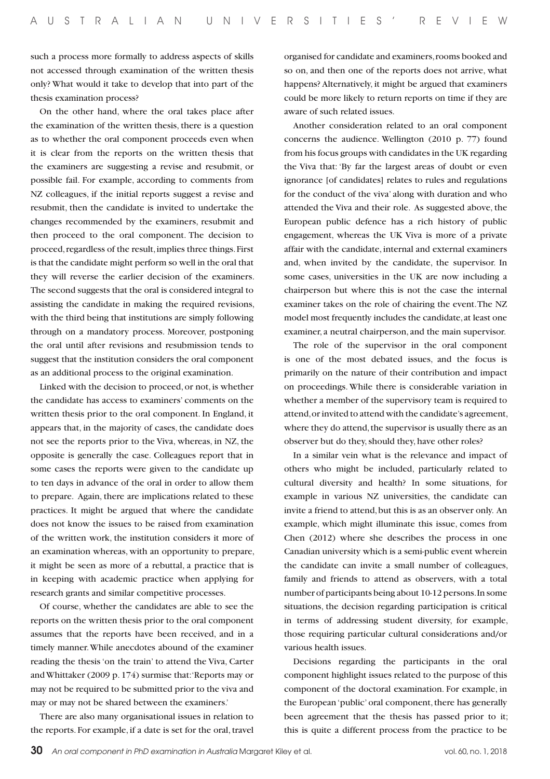such a process more formally to address aspects of skills not accessed through examination of the written thesis only? What would it take to develop that into part of the thesis examination process?

On the other hand, where the oral takes place after the examination of the written thesis, there is a question as to whether the oral component proceeds even when it is clear from the reports on the written thesis that the examiners are suggesting a revise and resubmit, or possible fail. For example, according to comments from NZ colleagues, if the initial reports suggest a revise and resubmit, then the candidate is invited to undertake the changes recommended by the examiners, resubmit and then proceed to the oral component. The decision to proceed, regardless of the result, implies three things. First is that the candidate might perform so well in the oral that they will reverse the earlier decision of the examiners. The second suggests that the oral is considered integral to assisting the candidate in making the required revisions, with the third being that institutions are simply following through on a mandatory process. Moreover, postponing the oral until after revisions and resubmission tends to suggest that the institution considers the oral component as an additional process to the original examination.

Linked with the decision to proceed, or not, is whether the candidate has access to examiners' comments on the written thesis prior to the oral component. In England, it appears that, in the majority of cases, the candidate does not see the reports prior to the Viva, whereas, in NZ, the opposite is generally the case. Colleagues report that in some cases the reports were given to the candidate up to ten days in advance of the oral in order to allow them to prepare. Again, there are implications related to these practices. It might be argued that where the candidate does not know the issues to be raised from examination of the written work, the institution considers it more of an examination whereas, with an opportunity to prepare, it might be seen as more of a rebuttal, a practice that is in keeping with academic practice when applying for research grants and similar competitive processes.

Of course, whether the candidates are able to see the reports on the written thesis prior to the oral component assumes that the reports have been received, and in a timely manner. While anecdotes abound of the examiner reading the thesis 'on the train' to attend the Viva, Carter and Whittaker (2009 p. 174) surmise that: 'Reports may or may not be required to be submitted prior to the viva and may or may not be shared between the examiners.'

There are also many organisational issues in relation to the reports. For example, if a date is set for the oral, travel organised for candidate and examiners, rooms booked and so on, and then one of the reports does not arrive, what happens? Alternatively, it might be argued that examiners could be more likely to return reports on time if they are aware of such related issues.

Another consideration related to an oral component concerns the audience. Wellington (2010 p. 77) found from his focus groups with candidates in the UK regarding the Viva that: 'By far the largest areas of doubt or even ignorance [of candidates] relates to rules and regulations for the conduct of the viva' along with duration and who attended the Viva and their role. As suggested above, the European public defence has a rich history of public engagement, whereas the UK Viva is more of a private affair with the candidate, internal and external examiners and, when invited by the candidate, the supervisor. In some cases, universities in the UK are now including a chairperson but where this is not the case the internal examiner takes on the role of chairing the event. The NZ model most frequently includes the candidate, at least one examiner, a neutral chairperson, and the main supervisor.

The role of the supervisor in the oral component is one of the most debated issues, and the focus is primarily on the nature of their contribution and impact on proceedings. While there is considerable variation in whether a member of the supervisory team is required to attend, or invited to attend with the candidate's agreement, where they do attend, the supervisor is usually there as an observer but do they, should they, have other roles?

In a similar vein what is the relevance and impact of others who might be included, particularly related to cultural diversity and health? In some situations, for example in various NZ universities, the candidate can invite a friend to attend, but this is as an observer only. An example, which might illuminate this issue, comes from Chen (2012) where she describes the process in one Canadian university which is a semi-public event wherein the candidate can invite a small number of colleagues, family and friends to attend as observers, with a total number of participants being about 10-12 persons. In some situations, the decision regarding participation is critical in terms of addressing student diversity, for example, those requiring particular cultural considerations and/or various health issues.

Decisions regarding the participants in the oral component highlight issues related to the purpose of this component of the doctoral examination. For example, in the European 'public' oral component, there has generally been agreement that the thesis has passed prior to it; this is quite a different process from the practice to be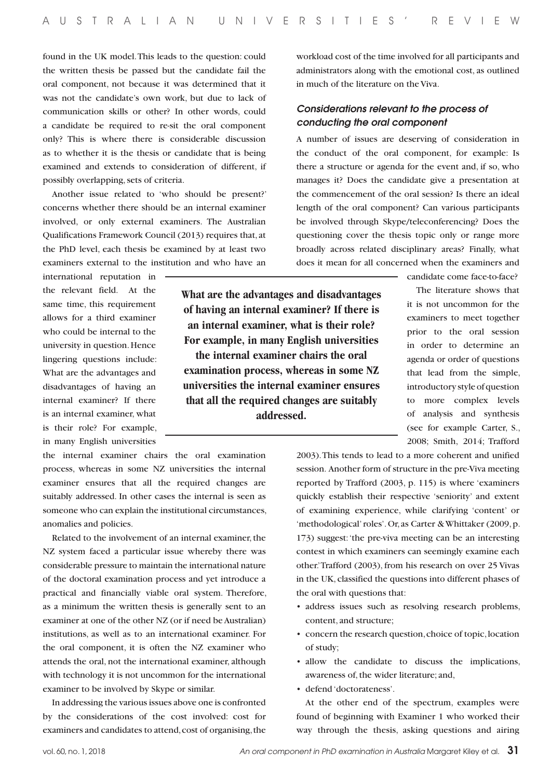found in the UK model. This leads to the question: could the written thesis be passed but the candidate fail the oral component, not because it was determined that it was not the candidate's own work, but due to lack of communication skills or other? In other words, could a candidate be required to re-sit the oral component only? This is where there is considerable discussion as to whether it is the thesis or candidate that is being examined and extends to consideration of different, if possibly overlapping, sets of criteria.

Another issue related to 'who should be present?' concerns whether there should be an internal examiner involved, or only external examiners. The Australian Qualifications Framework Council (2013) requires that, at the PhD level, each thesis be examined by at least two examiners external to the institution and who have an

international reputation in the relevant field. At the same time, this requirement allows for a third examiner who could be internal to the university in question. Hence lingering questions include: What are the advantages and disadvantages of having an internal examiner? If there is an internal examiner, what is their role? For example, in many English universities

the internal examiner chairs the oral examination process, whereas in some NZ universities the internal examiner ensures that all the required changes are suitably addressed. In other cases the internal is seen as someone who can explain the institutional circumstances, anomalies and policies.

Related to the involvement of an internal examiner, the NZ system faced a particular issue whereby there was considerable pressure to maintain the international nature of the doctoral examination process and yet introduce a practical and financially viable oral system. Therefore, as a minimum the written thesis is generally sent to an examiner at one of the other NZ (or if need be Australian) institutions, as well as to an international examiner. For the oral component, it is often the NZ examiner who attends the oral, not the international examiner, although with technology it is not uncommon for the international examiner to be involved by Skype or similar.

In addressing the various issues above one is confronted by the considerations of the cost involved: cost for examiners and candidates to attend, cost of organising, the

workload cost of the time involved for all participants and administrators along with the emotional cost, as outlined in much of the literature on the Viva.

#### *Considerations relevant to the process of conducting the oral component*

A number of issues are deserving of consideration in the conduct of the oral component, for example: Is there a structure or agenda for the event and, if so, who manages it? Does the candidate give a presentation at the commencement of the oral session? Is there an ideal length of the oral component? Can various participants be involved through Skype/teleconferencing? Does the questioning cover the thesis topic only or range more broadly across related disciplinary areas? Finally, what does it mean for all concerned when the examiners and

**What are the advantages and disadvantages of having an internal examiner? If there is an internal examiner, what is their role? For example, in many English universities the internal examiner chairs the oral examination process, whereas in some NZ universities the internal examiner ensures that all the required changes are suitably addressed.** 

candidate come face-to-face?

The literature shows that it is not uncommon for the examiners to meet together prior to the oral session in order to determine an agenda or order of questions that lead from the simple, introductory style of question to more complex levels of analysis and synthesis (see for example Carter, S., 2008; Smith, 2014; Trafford

2003). This tends to lead to a more coherent and unified session. Another form of structure in the pre-Viva meeting reported by Trafford (2003, p. 115) is where 'examiners quickly establish their respective 'seniority' and extent of examining experience, while clarifying 'content' or 'methodological' roles'. Or, as Carter & Whittaker (2009, p. 173) suggest: 'the pre-viva meeting can be an interesting contest in which examiners can seemingly examine each other.' Trafford (2003), from his research on over 25 Vivas in the UK, classified the questions into different phases of the oral with questions that:

- • address issues such as resolving research problems, content, and structure;
- • concern the research question, choice of topic, location of study;
- allow the candidate to discuss the implications, awareness of, the wider literature; and,
- defend 'doctorateness'.

At the other end of the spectrum, examples were found of beginning with Examiner 1 who worked their way through the thesis, asking questions and airing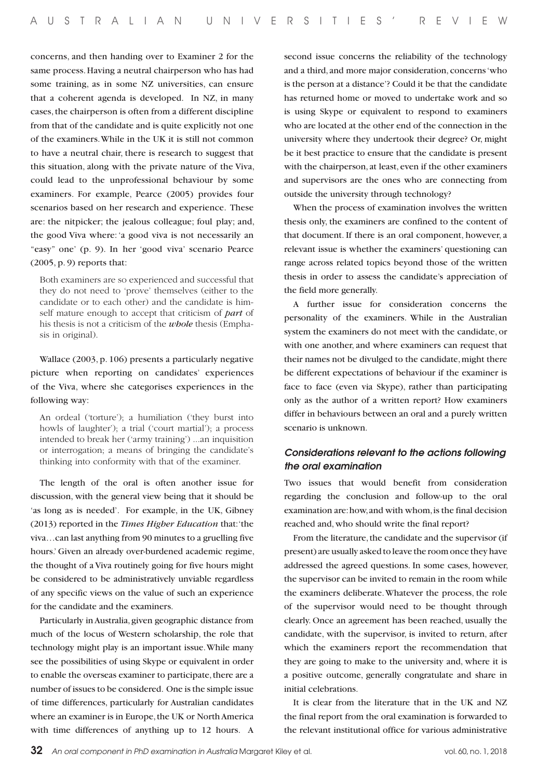concerns, and then handing over to Examiner 2 for the same process. Having a neutral chairperson who has had some training, as in some NZ universities, can ensure that a coherent agenda is developed. In NZ, in many cases, the chairperson is often from a different discipline from that of the candidate and is quite explicitly not one of the examiners. While in the UK it is still not common to have a neutral chair, there is research to suggest that this situation, along with the private nature of the Viva, could lead to the unprofessional behaviour by some examiners. For example, Pearce (2005) provides four scenarios based on her research and experience. These are: the nitpicker; the jealous colleague; foul play; and, the good Viva where: 'a good viva is not necessarily an "easy" one' (p. 9). In her 'good viva' scenario Pearce (2005, p. 9) reports that:

Both examiners are so experienced and successful that they do not need to 'prove' themselves (either to the candidate or to each other) and the candidate is himself mature enough to accept that criticism of *part* of his thesis is not a criticism of the *whole* thesis (Emphasis in original).

Wallace (2003, p. 106) presents a particularly negative picture when reporting on candidates' experiences of the Viva, where she categorises experiences in the following way:

An ordeal ('torture'); a humiliation ('they burst into howls of laughter'); a trial ('court martial'); a process intended to break her ('army training') ...an inquisition or interrogation; a means of bringing the candidate's thinking into conformity with that of the examiner.

The length of the oral is often another issue for discussion, with the general view being that it should be 'as long as is needed'. For example, in the UK, Gibney (2013) reported in the *Times Higher Education* that: 'the viva…can last anything from 90 minutes to a gruelling five hours.' Given an already over-burdened academic regime, the thought of a Viva routinely going for five hours might be considered to be administratively unviable regardless of any specific views on the value of such an experience for the candidate and the examiners.

Particularly in Australia, given geographic distance from much of the locus of Western scholarship, the role that technology might play is an important issue. While many see the possibilities of using Skype or equivalent in order to enable the overseas examiner to participate, there are a number of issues to be considered. One is the simple issue of time differences, particularly for Australian candidates where an examiner is in Europe, the UK or North America with time differences of anything up to 12 hours. A

second issue concerns the reliability of the technology and a third, and more major consideration, concerns 'who is the person at a distance'? Could it be that the candidate has returned home or moved to undertake work and so is using Skype or equivalent to respond to examiners who are located at the other end of the connection in the university where they undertook their degree? Or, might be it best practice to ensure that the candidate is present with the chairperson, at least, even if the other examiners and supervisors are the ones who are connecting from outside the university through technology?

When the process of examination involves the written thesis only, the examiners are confined to the content of that document. If there is an oral component, however, a relevant issue is whether the examiners' questioning can range across related topics beyond those of the written thesis in order to assess the candidate's appreciation of the field more generally.

A further issue for consideration concerns the personality of the examiners. While in the Australian system the examiners do not meet with the candidate, or with one another, and where examiners can request that their names not be divulged to the candidate, might there be different expectations of behaviour if the examiner is face to face (even via Skype), rather than participating only as the author of a written report? How examiners differ in behaviours between an oral and a purely written scenario is unknown.

#### *Considerations relevant to the actions following the oral examination*

Two issues that would benefit from consideration regarding the conclusion and follow-up to the oral examination are: how, and with whom, is the final decision reached and, who should write the final report?

From the literature, the candidate and the supervisor (if present) are usually asked to leave the room once they have addressed the agreed questions. In some cases, however, the supervisor can be invited to remain in the room while the examiners deliberate. Whatever the process, the role of the supervisor would need to be thought through clearly. Once an agreement has been reached, usually the candidate, with the supervisor, is invited to return, after which the examiners report the recommendation that they are going to make to the university and, where it is a positive outcome, generally congratulate and share in initial celebrations.

It is clear from the literature that in the UK and NZ the final report from the oral examination is forwarded to the relevant institutional office for various administrative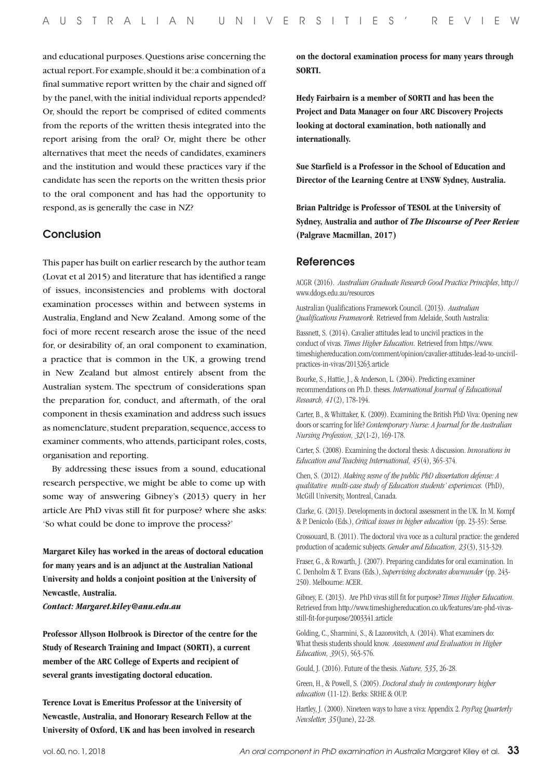and educational purposes. Questions arise concerning the actual report. For example, should it be: a combination of a final summative report written by the chair and signed off by the panel, with the initial individual reports appended? Or, should the report be comprised of edited comments from the reports of the written thesis integrated into the report arising from the oral? Or, might there be other alternatives that meet the needs of candidates, examiners and the institution and would these practices vary if the candidate has seen the reports on the written thesis prior to the oral component and has had the opportunity to respond, as is generally the case in NZ?

#### **Conclusion**

This paper has built on earlier research by the author team (Lovat et al 2015) and literature that has identified a range of issues, inconsistencies and problems with doctoral examination processes within and between systems in Australia, England and New Zealand. Among some of the foci of more recent research arose the issue of the need for, or desirability of, an oral component to examination, a practice that is common in the UK, a growing trend in New Zealand but almost entirely absent from the Australian system. The spectrum of considerations span the preparation for, conduct, and aftermath, of the oral component in thesis examination and address such issues as nomenclature, student preparation, sequence, access to examiner comments, who attends, participant roles, costs, organisation and reporting.

By addressing these issues from a sound, educational research perspective, we might be able to come up with some way of answering Gibney's (2013) query in her article Are PhD vivas still fit for purpose? where she asks: 'So what could be done to improve the process?'

**Margaret Kiley has worked in the areas of doctoral education for many years and is an adjunct at the Australian National University and holds a conjoint position at the University of Newcastle, Australia.**

*Contact: Margaret.kiley@anu.edu.au*

**Professor Allyson Holbrook is Director of the centre for the Study of Research Training and Impact (SORTI), a current member of the ARC College of Experts and recipient of several grants investigating doctoral education.**

**Terence Lovat is Emeritus Professor at the University of Newcastle, Australia, and Honorary Research Fellow at the University of Oxford, UK and has been involved in research**  **on the doctoral examination process for many years through SORTI.**

**Hedy Fairbairn is a member of SORTI and has been the Project and Data Manager on four ARC Discovery Projects looking at doctoral examination, both nationally and internationally.**

**Sue Starfield is a Professor in the School of Education and Director of the Learning Centre at UNSW Sydney, Australia.**

**Brian Paltridge is Professor of TESOL at the University of Sydney, Australia and author of** *The Discourse of Peer Review*  **(Palgrave Macmillan, 2017)**

#### References

ACGR (2016). *Australian Graduate Research Good Practice Principles*, http:// www.ddogs.edu.au/resources

Australian Qualifications Framework Council. (2013). *Australian Qualifications Framework.* Retrieved from Adelaide, South Australia:

Bassnett, S. (2014). Cavalier attitudes lead to uncivil practices in the conduct of vivas. *Times Higher Education.* Retrieved from https://www. timeshighereducation.com/comment/opinion/cavalier-attitudes-lead-to-uncivilpractices-in-vivas/2013263.article

Bourke, S., Hattie, J., & Anderson, L. (2004). Predicting examiner recommendations on Ph.D. theses. *International Journal of Educational Research, 41*(2), 178-194.

Carter, B., & Whittaker, K. (2009). Examining the British PhD Viva: Opening new doors or scarring for life? *Contemporary Nurse: A Journal for the Australian Nursing Profession, 32*(1-2), 169-178.

Carter, S. (2008). Examining the doctoral thesis: A discussion. *Innovations in Education and Teaching International, 45*(4), 365-374.

Chen, S. (2012). *Making sesne of the public PhD dissertation defense: A qualitative multi-case study of Education students' experiences.* (PhD), McGill University, Montreal, Canada.

Clarke, G. (2013). Developments in doctoral assessment in the UK. In M. Kompf & P. Denicolo (Eds.), *Critical issues in higher education* (pp. 23-35): Sense.

Crossouard, B. (2011). The doctoral viva voce as a cultural practice: the gendered production of academic subjects. *Gender and Education, 23*(3), 313-329.

Fraser, G., & Rowarth, J. (2007). Preparing candidates for oral examination. In C. Denholm & T. Evans (Eds.), *Supervising doctorates downunder* (pp. 243- 250). Melbourne: ACER.

Gibney, E. (2013). Are PhD vivas still fit for purpose? *Times Higher Education.*  Retrieved from http://www.timeshighereducation.co.uk/features/are-phd-vivasstill-fit-for-purpose/2003341.article

Golding, C., Sharmini, S., & Lazorovitch, A. (2014). What examiners do: What thesis students should know. *Assessment and Evaluation in Higher Education, 39*(5), 563-576.

Gould, J. (2016). Future of the thesis. *Nature, 535*, 26-28.

Green, H., & Powell, S. (2005). *Doctoral study in contemporary higher education* (11-12). Berks: SRHE & OUP.

Hartley, J. (2000). Nineteen ways to have a viva: Appendix 2. *PsyPag Quarterly Newsletter, 35*(June), 22-28.